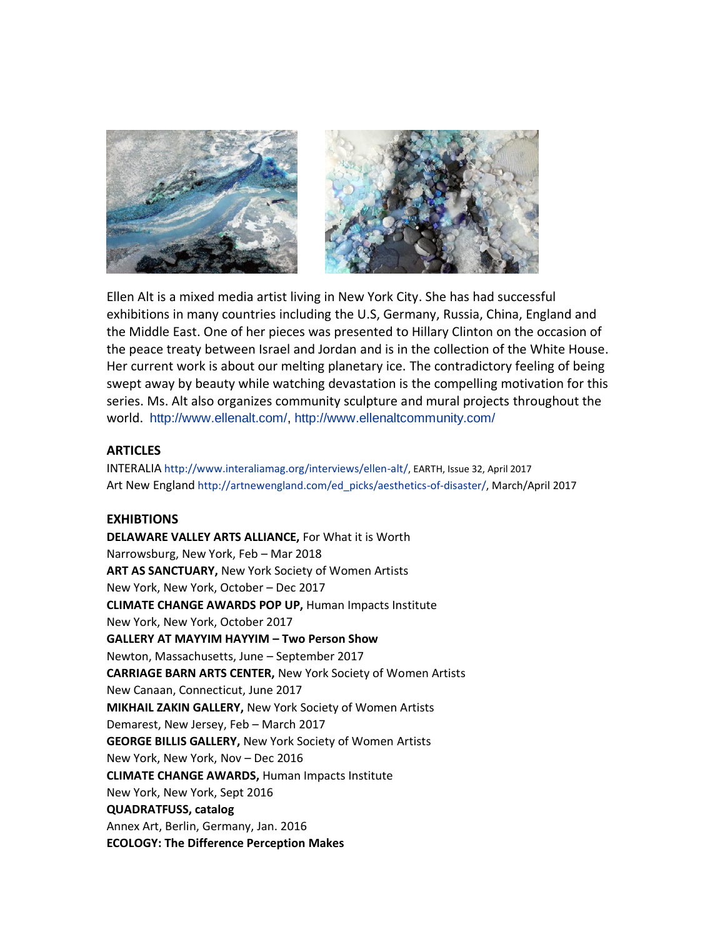

Ellen Alt is a mixed media artist living in New York City. She has had successful exhibitions in many countries including the U.S, Germany, Russia, China, England and the Middle East. One of her pieces was presented to Hillary Clinton on the occasion of the peace treaty between Israel and Jordan and is in the collection of the White House. Her current work is about our melting planetary ice. The contradictory feeling of being swept away by beauty while watching devastation is the compelling motivation for this series. Ms. Alt also organizes community sculpture and mural projects throughout the world. [http://www.ellenalt.com/,](http://www.ellenalt.com/)<http://www.ellenaltcommunity.com/>

## **ARTICLES**

INTERALIA <http://www.interaliamag.org/interviews/ellen-alt/>, EARTH, Issue 32, April 2017 Art New England [http://artnewengland.com/ed\\_picks/aesthetics-of-disaster/,](http://artnewengland.com/ed_picks/aesthetics-of-disaster/) March/April 2017

## **EXHIBTIONS**

**DELAWARE VALLEY ARTS ALLIANCE,** For What it is Worth Narrowsburg, New York, Feb – Mar 2018 **ART AS SANCTUARY,** New York Society of Women Artists New York, New York, October – Dec 2017 **CLIMATE CHANGE AWARDS POP UP,** Human Impacts Institute New York, New York, October 2017 **GALLERY AT MAYYIM HAYYIM – Two Person Show** Newton, Massachusetts, June – September 2017 **CARRIAGE BARN ARTS CENTER,** New York Society of Women Artists New Canaan, Connecticut, June 2017 **MIKHAIL ZAKIN GALLERY,** New York Society of Women Artists Demarest, New Jersey, Feb – March 2017 **GEORGE BILLIS GALLERY,** New York Society of Women Artists New York, New York, Nov – Dec 2016 **CLIMATE CHANGE AWARDS,** Human Impacts Institute New York, New York, Sept 2016 **QUADRATFUSS, catalog** Annex Art, Berlin, Germany, Jan. 2016 **ECOLOGY: The Difference Perception Makes**